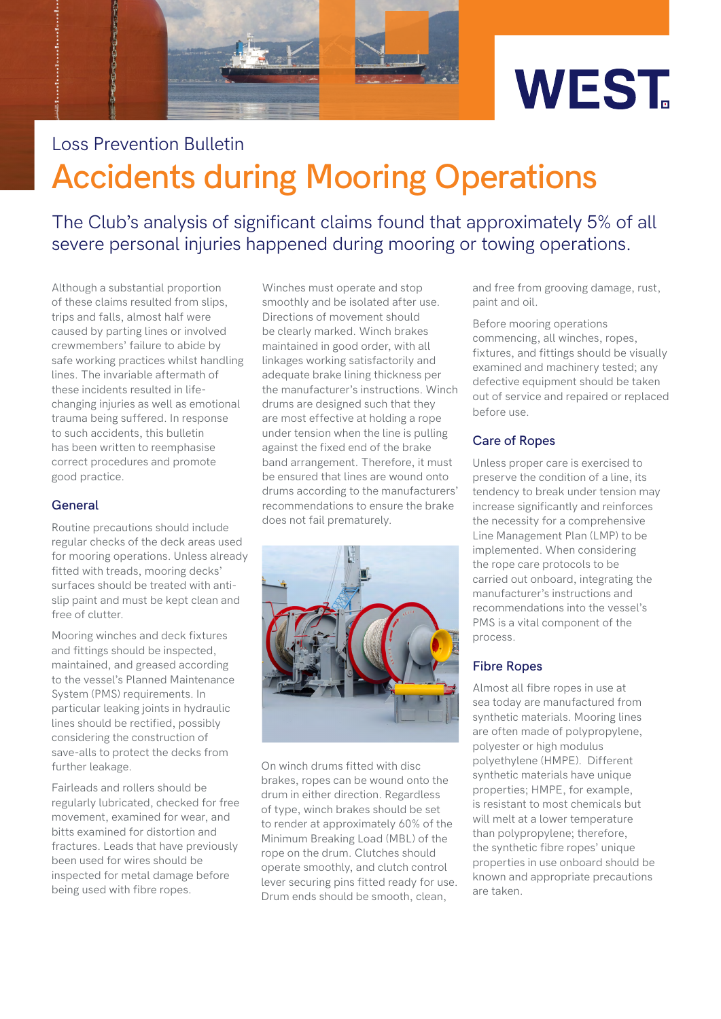

# **Accidents during Mooring Operations** Loss Prevention Bulletin

The Club's analysis of significant claims found that approximately 5% of all severe personal injuries happened during mooring or towing operations.

Although a substantial proportion of these claims resulted from slips, trips and falls, almost half were caused by parting lines or involved crewmembers' failure to abide by safe working practices whilst handling lines. The invariable aftermath of these incidents resulted in lifechanging injuries as well as emotional trauma being suffered. In response to such accidents, this bulletin has been written to reemphasise correct procedures and promote good practice.

# **General**

Routine precautions should include regular checks of the deck areas used for mooring operations. Unless already fitted with treads, mooring decks' surfaces should be treated with antislip paint and must be kept clean and free of clutter.

Mooring winches and deck fixtures and fittings should be inspected, maintained, and greased according to the vessel's Planned Maintenance System (PMS) requirements. In particular leaking joints in hydraulic lines should be rectified, possibly considering the construction of save-alls to protect the decks from further leakage.

Fairleads and rollers should be regularly lubricated, checked for free movement, examined for wear, and bitts examined for distortion and fractures. Leads that have previously been used for wires should be inspected for metal damage before being used with fibre ropes.

Winches must operate and stop smoothly and be isolated after use. Directions of movement should be clearly marked. Winch brakes maintained in good order, with all linkages working satisfactorily and adequate brake lining thickness per the manufacturer's instructions. Winch drums are designed such that they are most effective at holding a rope under tension when the line is pulling against the fixed end of the brake band arrangement. Therefore, it must be ensured that lines are wound onto drums according to the manufacturers' recommendations to ensure the brake does not fail prematurely.



On winch drums fitted with disc brakes, ropes can be wound onto the drum in either direction. Regardless of type, winch brakes should be set to render at approximately 60% of the Minimum Breaking Load (MBL) of the rope on the drum. Clutches should operate smoothly, and clutch control lever securing pins fitted ready for use. Drum ends should be smooth, clean,

and free from grooving damage, rust, paint and oil.

Before mooring operations commencing, all winches, ropes, fixtures, and fittings should be visually examined and machinery tested; any defective equipment should be taken out of service and repaired or replaced before use.

# **Care of Ropes**

Unless proper care is exercised to preserve the condition of a line, its tendency to break under tension may increase significantly and reinforces the necessity for a comprehensive Line Management Plan (LMP) to be implemented. When considering the rope care protocols to be carried out onboard, integrating the manufacturer's instructions and recommendations into the vessel's PMS is a vital component of the process.

## **Fibre Ropes**

Almost all fibre ropes in use at sea today are manufactured from synthetic materials. Mooring lines are often made of polypropylene, polyester or high modulus polyethylene (HMPE). Different synthetic materials have unique properties; HMPE, for example, is resistant to most chemicals but will melt at a lower temperature than polypropylene; therefore, the synthetic fibre ropes' unique properties in use onboard should be known and appropriate precautions are taken.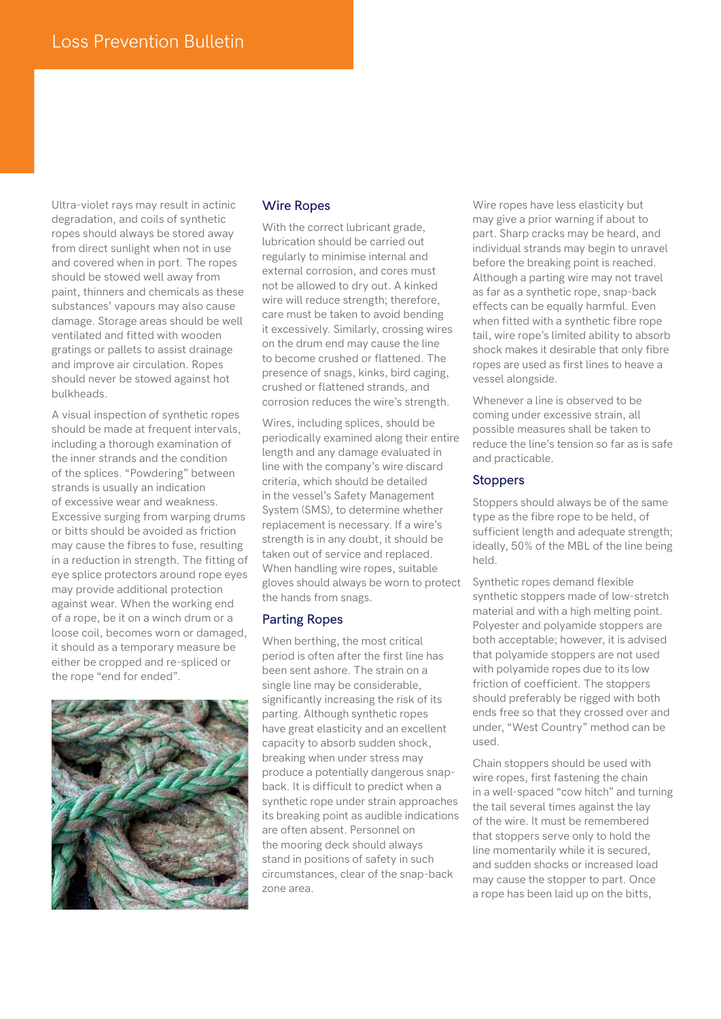Ultra-violet rays may result in actinic degradation, and coils of synthetic ropes should always be stored away from direct sunlight when not in use and covered when in port. The ropes should be stowed well away from paint, thinners and chemicals as these substances' vapours may also cause damage. Storage areas should be well ventilated and fitted with wooden gratings or pallets to assist drainage and improve air circulation. Ropes should never be stowed against hot bulkheads.

A visual inspection of synthetic ropes should be made at frequent intervals, including a thorough examination of the inner strands and the condition of the splices. "Powdering" between strands is usually an indication of excessive wear and weakness. Excessive surging from warping drums or bitts should be avoided as friction may cause the fibres to fuse, resulting in a reduction in strength. The fitting of eye splice protectors around rope eyes may provide additional protection against wear. When the working end of a rope, be it on a winch drum or a loose coil, becomes worn or damaged, it should as a temporary measure be either be cropped and re-spliced or the rope "end for ended".



# **Wire Ropes**

With the correct lubricant grade, lubrication should be carried out regularly to minimise internal and external corrosion, and cores must not be allowed to dry out. A kinked wire will reduce strength; therefore, care must be taken to avoid bending it excessively. Similarly, crossing wires on the drum end may cause the line to become crushed or flattened. The presence of snags, kinks, bird caging, crushed or flattened strands, and corrosion reduces the wire's strength.

Wires, including splices, should be periodically examined along their entire length and any damage evaluated in line with the company's wire discard criteria, which should be detailed in the vessel's Safety Management System (SMS), to determine whether replacement is necessary. If a wire's strength is in any doubt, it should be taken out of service and replaced. When handling wire ropes, suitable gloves should always be worn to protect the hands from snags.

## **Parting Ropes**

When berthing, the most critical period is often after the first line has been sent ashore. The strain on a single line may be considerable, significantly increasing the risk of its parting. Although synthetic ropes have great elasticity and an excellent capacity to absorb sudden shock, breaking when under stress may produce a potentially dangerous snapback. It is difficult to predict when a synthetic rope under strain approaches its breaking point as audible indications are often absent. Personnel on the mooring deck should always stand in positions of safety in such circumstances, clear of the snap-back zone area.

Wire ropes have less elasticity but may give a prior warning if about to part. Sharp cracks may be heard, and individual strands may begin to unravel before the breaking point is reached. Although a parting wire may not travel as far as a synthetic rope, snap-back effects can be equally harmful. Even when fitted with a synthetic fibre rope tail, wire rope's limited ability to absorb shock makes it desirable that only fibre ropes are used as first lines to heave a vessel alongside.

Whenever a line is observed to be coming under excessive strain, all possible measures shall be taken to reduce the line's tension so far as is safe and practicable.

#### **Stoppers**

Stoppers should always be of the same type as the fibre rope to be held, of sufficient length and adequate strength; ideally, 50% of the MBL of the line being held.

Synthetic ropes demand flexible synthetic stoppers made of low-stretch material and with a high melting point. Polyester and polyamide stoppers are both acceptable; however, it is advised that polyamide stoppers are not used with polyamide ropes due to its low friction of coefficient. The stoppers should preferably be rigged with both ends free so that they crossed over and under, "West Country" method can be used.

Chain stoppers should be used with wire ropes, first fastening the chain in a well-spaced "cow hitch" and turning the tail several times against the lay of the wire. It must be remembered that stoppers serve only to hold the line momentarily while it is secured, and sudden shocks or increased load may cause the stopper to part. Once a rope has been laid up on the bitts,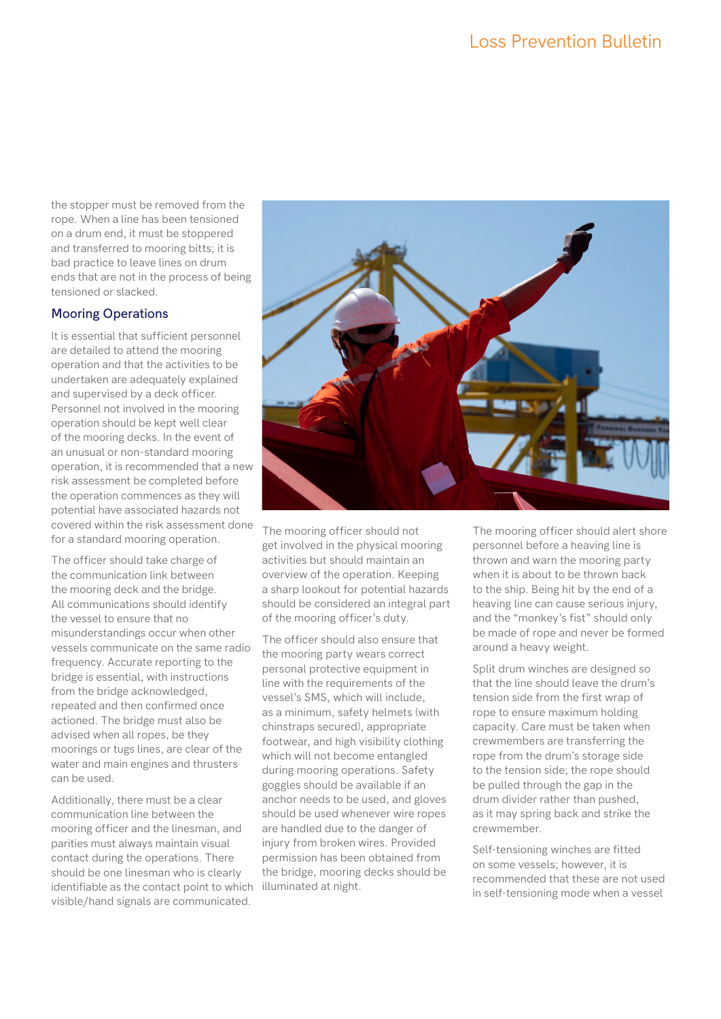the stopper must be removed from the rope. When a line has been tensioned on a drum end, it must be stoppered and transferred to mooring bitts; it is bad practice to leave lines on drum ends that are not in the process of being tensioned or slacked.

# **Mooring Operations**

It is essential that sufficient personnel are detailed to attend the mooring operation and that the activities to be undertaken are adequately explained and supervised by a deck officer. Personnel not involved in the mooring operation should be kept well clear of the mooring decks. In the event of an unusual or non-standard mooring operation, it is recommended that a new risk assessment be completed before the operation commences as they will potential have associated hazards not covered within the risk assessment done for a standard mooring operation.

The officer should take charge of the communication link between the mooring deck and the bridge. All communications should identify the vessel to ensure that no misunderstandings occur when other vessels communicate on the same radio frequency. Accurate reporting to the bridge is essential, with instructions from the bridge acknowledged, repeated and then confirmed once actioned. The bridge must also be advised when all ropes, be they moorings or tugs lines, are clear of the water and main engines and thrusters can be used.

Additionally, there must be a clear communication line between the mooring officer and the linesman, and parities must always maintain visual contact during the operations. There should be one linesman who is clearly identifiable as the contact point to which illuminated at night. visible/hand signals are communicated.



The mooring officer should not get involved in the physical mooring activities but should maintain an overview of the operation. Keeping a sharp lookout for potential hazards should be considered an integral part of the mooring officer's duty.

The officer should also ensure that the mooring party wears correct personal protective equipment in line with the requirements of the vessel's SMS, which will include, as a minimum, safety helmets (with chinstraps secured), appropriate footwear, and high visibility clothing which will not become entangled during mooring operations. Safety goggles should be available if an anchor needs to be used, and gloves should be used whenever wire ropes are handled due to the danger of injury from broken wires. Provided permission has been obtained from the bridge, mooring decks should be

The mooring officer should alert shore personnel before a heaving line is thrown and warn the mooring party when it is about to be thrown back to the ship. Being hit by the end of a heaving line can cause serious injury, and the "monkey's fist" should only be made of rope and never be formed around a heavy weight.

Split drum winches are designed so that the line should leave the drum's tension side from the first wrap of rope to ensure maximum holding capacity. Care must be taken when crewmembers are transferring the rope from the drum's storage side to the tension side; the rope should be pulled through the gap in the drum divider rather than pushed, as it may spring back and strike the crewmember.

Self-tensioning winches are fitted on some vessels; however, it is recommended that these are not used in self-tensioning mode when a vessel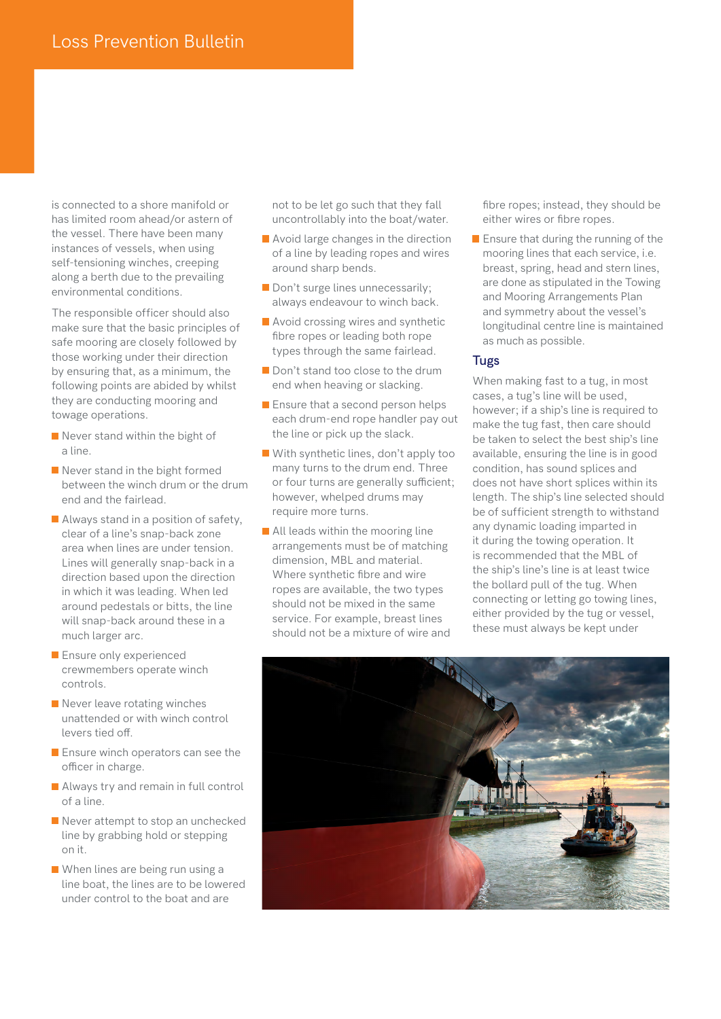is connected to a shore manifold or has limited room ahead/or astern of the vessel. There have been many instances of vessels, when using self-tensioning winches, creeping along a berth due to the prevailing environmental conditions.

The responsible officer should also make sure that the basic principles of safe mooring are closely followed by those working under their direction by ensuring that, as a minimum, the following points are abided by whilst they are conducting mooring and towage operations.

- Never stand within the bight of a line.
- Never stand in the bight formed between the winch drum or the drum end and the fairlead.
- **Always stand in a position of safety,** clear of a line's snap-back zone area when lines are under tension. Lines will generally snap-back in a direction based upon the direction in which it was leading. When led around pedestals or bitts, the line will snap-back around these in a much larger arc.
- **Ensure only experienced** crewmembers operate winch controls.
- Never leave rotating winches unattended or with winch control levers tied off.
- **Ensure winch operators can see the** officer in charge.
- **Always try and remain in full control** of a line.
- Never attempt to stop an unchecked line by grabbing hold or stepping on it.
- When lines are being run using a line boat, the lines are to be lowered under control to the boat and are

not to be let go such that they fall uncontrollably into the boat/water.

- **Avoid large changes in the direction** of a line by leading ropes and wires around sharp bends.
- Don't surge lines unnecessarily; always endeavour to winch back.
- **Avoid crossing wires and synthetic** fibre ropes or leading both rope types through the same fairlead.
- Don't stand too close to the drum end when heaving or slacking.
- **E** Ensure that a second person helps each drum-end rope handler pay out the line or pick up the slack.
- With synthetic lines, don't apply too many turns to the drum end. Three or four turns are generally sufficient; however, whelped drums may require more turns.
- **All leads within the mooring line** arrangements must be of matching dimension, MBL and material. Where synthetic fibre and wire ropes are available, the two types should not be mixed in the same service. For example, breast lines should not be a mixture of wire and

fibre ropes; instead, they should be either wires or fibre ropes.

**Ensure that during the running of the** mooring lines that each service, i.e. breast, spring, head and stern lines, are done as stipulated in the Towing and Mooring Arrangements Plan and symmetry about the vessel's longitudinal centre line is maintained as much as possible.

# **Tugs**

When making fast to a tug, in most cases, a tug's line will be used, however; if a ship's line is required to make the tug fast, then care should be taken to select the best ship's line available, ensuring the line is in good condition, has sound splices and does not have short splices within its length. The ship's line selected should be of sufficient strength to withstand any dynamic loading imparted in it during the towing operation. It is recommended that the MBL of the ship's line's line is at least twice the bollard pull of the tug. When connecting or letting go towing lines, either provided by the tug or vessel, these must always be kept under